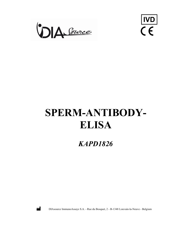



# SPERM-ANTIBODY-ELISA

KAPD1826



DIAsource ImmunoAssays S.A. - Rue du Bosquet, 2 - B-1348 Louvain-la-Neuve - Belgium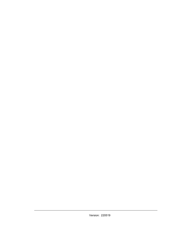Version: 220519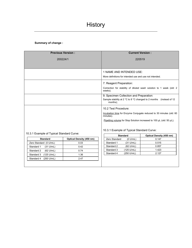# Summary of change :

| <b>Previous Version:</b>                  |                          | <b>Current Version:</b>                                                          |  |  |
|-------------------------------------------|--------------------------|----------------------------------------------------------------------------------|--|--|
| 200224/1                                  |                          | 220519                                                                           |  |  |
|                                           |                          |                                                                                  |  |  |
|                                           |                          | 1 NAME AND INTENDED USE:                                                         |  |  |
|                                           |                          | More definitions for intended use and use not intended.                          |  |  |
|                                           |                          | 7. Reagent Preparation:                                                          |  |  |
|                                           |                          | Correction for stability of diluted wash solution to 1 week (old: 2<br>weeks).   |  |  |
|                                           |                          | 9. Specimen Collection and Preparation:                                          |  |  |
|                                           |                          | Sample stability at 2 °C to 8 °C changed to 2 months (instead of 12<br>months);  |  |  |
|                                           |                          | 10.2 Test Procedure:                                                             |  |  |
|                                           |                          | Incubation time for Enzyme Conjugate reduced to 30 minutes (old: 60<br>minutes). |  |  |
|                                           |                          | Pipetting volume for Stop Solution increased to 100 µL (old: 50 µL);             |  |  |
|                                           |                          |                                                                                  |  |  |
|                                           |                          | 10.3.1 Example of Typical Standard Curve:                                        |  |  |
| 10.3.1 Example of Typical Standard Curve: |                          | <b>Standard</b><br>Optical Density (450 nm)                                      |  |  |
| <b>Standard</b>                           | Optical Density (450 nm) | Zero Standard<br>$(0 \text{ U/mL})$<br>0.147                                     |  |  |
| Zero Standard (0 U/mL)                    | 0.03                     | $(31$ U/mL)<br>Standard 1<br>0.515                                               |  |  |
| Standard 1<br>$(31$ U/mL)                 | 0.42                     | Standard 2<br>$(62 \text{ U/mL})$<br>0.857                                       |  |  |
| Standard 2<br>$(62$ U/mL)                 | 0.74                     | Standard 3<br>1.423<br>(125 U/mL)                                                |  |  |
| Standard 3<br>(125 U/mL)                  | 1.36                     | 2.127<br>Standard 4<br>(250 U/mL)                                                |  |  |
| Standard 4<br>(250 U/mL)                  | 2.47                     |                                                                                  |  |  |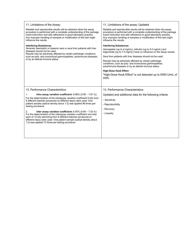| 11. Limitations of the Assay:                                                                                                                                                                                                                                                                                                                                                                                                                                                                                                                                                                                                                                                                   | 11. Limitations of the assay: Updated                                                                                                                                                                                                                                                                                                                                                                                                                                                                                  |
|-------------------------------------------------------------------------------------------------------------------------------------------------------------------------------------------------------------------------------------------------------------------------------------------------------------------------------------------------------------------------------------------------------------------------------------------------------------------------------------------------------------------------------------------------------------------------------------------------------------------------------------------------------------------------------------------------|------------------------------------------------------------------------------------------------------------------------------------------------------------------------------------------------------------------------------------------------------------------------------------------------------------------------------------------------------------------------------------------------------------------------------------------------------------------------------------------------------------------------|
| Reliable and reproducible results will be obtained when the assay<br>procedure is performed with a complete understanding of the package<br>insert instruction and with adherence to good laboratory practice.<br>Any improper handling of samples or modification of this test might<br>influence the results.                                                                                                                                                                                                                                                                                                                                                                                 | Reliable and reproducible results will be obtained when the assay<br>procedure is performed with a complete understanding of the package<br>insert instruction and with adherence to good laboratory practice.<br>Any improper handling of samples or modification of this test might<br>influence the results.                                                                                                                                                                                                        |
| <b>Interfering Substances</b><br>Severely haemolytic or lipaemic sera or sera from patients with liver<br>diseases should not be used.<br>Results may be adversely affected by certain pathologic conditions,<br>such as poly- and monoclonal gammopathies, autoimmune diseases<br>or by an altered immune status.                                                                                                                                                                                                                                                                                                                                                                              | <b>Interfering Substances</b><br>Hemoglobin (up to 4 mg/mL), bilirubin (up to 0.5 mg/mL) and<br>triglyceride (up to 7.5 mg/mL) have no influence on the assay results.<br>Sera from patients with liver diseases should not be used.<br>Results may be adversely affected by certain pathologic<br>conditions, such as poly- and monoclonal gammopathies,<br>autoimmune diseases or by an altered immune status.<br><b>High-Dose Hook Effect</b><br>"High-Dose Hook Effect" is not detected up to 5000 U/mL of<br>ASA. |
| 13. Performance Characteristics:<br>1.<br>Intra assay variation coefficient: $6.88\%$ (5.90 - 7.81 %)<br>For the determination of the intraassay variation coefficient 6 kits from<br>6 different batches (produced on different days) were used. One<br>patient sample (optical density about 1.0) was applied 96 times per<br>testing procedure.<br>2.<br>Inter assay variation coefficient: $6.45\%$ (4.84 - 7.52 %)<br>For the determination of the interassay variation coefficient one strip<br>each of 12 kits stemming from 6 different batches (produced on<br>different days) were used. One patient sample (optical density about<br>1.0) was applied 72 times per testing procedure | 13. Performance Characteristics:<br>Updated and additional data for the following criteria:<br>- Sensitivity<br>- Reproducibility<br>- Recovery<br>- Linearity                                                                                                                                                                                                                                                                                                                                                         |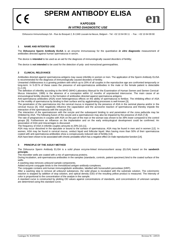**SPERM ANTIBODY ELISA**

# **KAPD1826** *IN VITRO DIAGNOSTIC USE*

DIAsource ImmunoAssays SA - Rue du Bosquet 2, B-1348 Louvain-la-Neuve, Belgium - Tel: +32 10 84 99 11 - Fax : +32 10 84 99 90

# **1 NAME AND INTENTED USE**

The **DIAsource Sperm Antibody ELISA** is an enzyme immunoassay for the quantitative *in vitro* **diagnostic** measurement of antibodies directed against human spermatozoa in serum.

The device is **intended** to be used as an aid for the diagnosis of immunologically caused disorders of fertility;

The device is **not intended** to be used for the detection of poly- and monoclonal gammopathies.

# **2 CLINICAL RELEVANCE**

Antibodies directed against spermatozoa antigens may cause infertility in women or men. The application of the Sperm Antibody ELISA is recommended for the diagnosis of immunologically caused disorders of fertility.

Unwanted childlessness is a growing problem with which up to 20% of all couples in the reproductive age are confronted temporarily or long-term. In 5-20 % of these cases the presence of anti-spermatozoa antibodies in the male or the female patient is detectable [1,2,15].

The definition of infertility according to the WHO (WHO Laboratory Manual for the Examination of Human Semen and Semen Cervical-Mucus Interaction, 1999) is the absence of a conception within 12 months of unprotected intercourse. The main cause of an immunological fertility disorder is the formation of antibodies directed against spermatozoa antigens.

Anti-spermatozoa antibodies (ASA) exert heterogeneous effects on the ability of spermatozoa to fertilize. The inhibiting effect of ASA on the motility of spermatozoa by binding to their surface and by agglutinating processes is well-known [3].

The penetration of the spermatozoa into the cervical mucus is impaired by the presence of ASA in the seminal plasma and/or in the cervical mucus [4]. ASA negatively influence the capacitation and the acrosome reaction of spermatozoa and thereby impede the interaction of the spermatozoa with the oocyte [5,6].

The interaction of the spermatozoon with the oocyte and the subsequent binding to and penetration of the zona pellucida may be inhibited by ASA. The following fusion of the oocyte and a spermatozoon may also be impaired by the presence of ASA [7,8].

The rate of pregnancies in couples with ASA on the part of the man or the woman was shown to be 38% lower compared to the control groups [9]. Furthermore an influence on the implantation and on the early embryological development could be confirmed. An association of ASA and miscarriages is discussed.

The frequency of ASA in infertile couples amounts to 20% [10,11].

ASA may occur dissolved in the ejaculate or bound to the surface of spermatozoa. ASA may be found in men and in women [12]. In women, ASA may be found in cervical mucus, oviduct liquid and follicular liquid. Men having more than 50% of their spermatozoa coated with anti-spermatozoa antibodies show a conspicuously reduced rate of fertility [13].

ASA have been shown to be associated with chronic prostatitis which has a negative effect on male reproductive function [14].

# **3 PRINCIPLE OF THE ASSAY METHOD**

The DIAsource Sperm Antibody ELISA is a solid phase enzyme-linked immunosorbent assay (ELISA) based on the **sandwich principle.** 

The microtiter wells are coated with a mix of spermatozoa proteins.

During incubation, anti-spermatozoa antibodies in the samples (standards, controls, patient specimen) bind to the coated surface of the wells

A washing step removes unbound sample components.

Added enzyme conjugate binds to the immobilized antigen-antibody-complexes.

The conjugate contains anti-human immunoglobulin antibodies, labelled with horseradish peroxidase (HRP).

After a washing step to remove all unbound substances, the solid phase is incubated with the substrate solution. The colorimetric reaction is stopped by addition of stop solution, and optical density (OD) of the resulting yellow product is measured. The intensity of color is proportional to the concentration of the analyte in the sample.

A standard curve is constructed by plotting OD values against concentrations of standards, and concentrations of unknown samples are determined using this standard curve.

**en**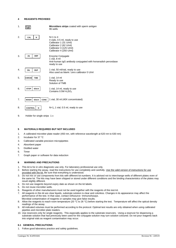# **4 REAGENTS PROVIDED**

| 1. |                                    | Microtiters strips coated with sperm antigen<br>96 wells                                                                                              |
|----|------------------------------------|-------------------------------------------------------------------------------------------------------------------------------------------------------|
| 2. | CAL<br>N                           | $N=1$ to 4<br>4 vials, 0.5 ml, ready to use<br>Calibrator 1 (31 U/ml)<br>Calibrator 2 (62 U/ml)<br>Calibrator 3 (125 U/ml)<br>Calibrator 4 (250 U/ml) |
| 3. | <b>HRP</b><br>Ab                   | Enzyme Conjugate<br>1 vial, 8 ml<br>Anti-human IgG antibody conjugated with horseradish peroxidase<br>ready to use                                    |
| 4. | <b>DIL</b><br><b>BUF</b>           | 1 vial, 50 ml/vial, ready to use<br>Also used as blank / zero calibrator 0 U/ml                                                                       |
| 5. | снкомі<br><b>TMB</b>               | 1 vial, 14 ml<br>Ready to use<br>Solution of TMB                                                                                                      |
| 6. | <b>STOP</b><br><b>SOLN</b>         | 1 vial, 14 ml, ready to use<br>Contains 0.5M H <sub>2</sub> SO <sub>4</sub>                                                                           |
| 7. | <b>WASH</b><br><b>SOLN</b><br>CONC | 1 vial, 30 ml (40X concentrated)                                                                                                                      |
| 8. | <b>CONTROL</b><br>N                | $N=1$ , 1 vial, 0.5 ml, ready to use                                                                                                                  |

9. Holder for single strips 1 x

# **5 MATERIALS REQUIRED BUT NOT INCLUDED**

- 1. A calibrated microtiter plate reader (450 nm, with reference wavelength at 620 nm to 630 nm)
- 2. Incubator for 37 °C
- 3. Calibrated variable precision micropipettes
- 4. Absorbent paper
- 5. Distilled water
- 6. Timer
- 7. Graph paper or software for data reduction

# **6 WARNING AND PRECAUTIONS**

- 1. This kit is for *in vitro* diagnostic use only. For laboratory professional use only.
- 2. Before starting the assay, read the instructions for use completely and carefully. Use the valid version of instructions for use provided with the kit. Be sure that everything is understood.
- 3. Do not mix or use components from kits with different lot numbers. It is advised not to interchange wells of different plates even of the same lot. The kits may have been shipped or stored under different conditions and the binding characteristics of the plates may result slightly different.
- 4. Do not use reagents beyond expiry date as shown on the kit labels.
- 5. Do not reuse microtiter wells.
- 6. Reagents of other manufacturers must not be used together with the reagents of this test kit.
- 7. All reagents in this kit are clear liquids, substrate solution is clear and colorless. Changes in its appearance may affect the performance of the test. In that case, contact DIAsource ImmunoAssays.
- Microbial contamination of reagents or samples may give false results. 8. Allow the reagents to reach room temperature (20 °C to 26 °C) before starting the test. Temperature will affect the optical density readings of the assay.
- 9. All indicated volumes must be performed according to the protocol. Optimal test results are only obtained when using calibrated pipettes and microtiter plate readers.
- 10. Use reservoirs only for single reagents. This especially applies to the substrate reservoirs. Using a reservoir for dispensing a substrate solution that had previously been used for the conjugate solution may turn solution coloured. Do not pour reagents back into original vials as reagent contamination may occur.

# **6.1 GENERAL PRECAUTIONS**

1. Follow good laboratory practice and safety guidelines.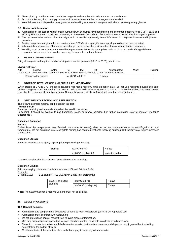- 2. Never pipet by mouth and avoid contact of reagents and samples with skin and mucous membranes.
- 3. Do not smoke, eat, drink, or apply cosmetics in areas where samples or kit reagents are handled.
- 4. Wear lab coats and disposable latex gloves when handling samples and reagents and where necessary safety glasses.

### **6.2 Biohazard information**

- 1. All reagents of this test kit which contain human serum or plasma have been tested and confirmed negative for HIV I/II, HBsAg and HCV by FDA approved procedures. However, no known test method can offer total assurance that no infectious agent is present.
- 2. The device contains material of animal origin, which is certified apparently free of infectious or contagious diseases and injurious parasites.
- 3. Bovine components originate from countries where BSE (Bovine spongiform encephalopathy) has not been reported.
- 4. All materials and samples of human or animal origin must be handled as if capable of transmitting infectious diseases.
- 5. Handling must be done in accordance with the procedures defined by appropriate national biohazard and safety guideline or regulation. Waste must be discarded according to local rules and regulations.

# **7 REAGENT PREPARATION**

Bring all reagents and required number of strips to room temperature (20 °C to 26 °C) prior to use.

# *Wash Solution*

| Add | distilled                                                                                             | water | the                                   | 40X | concentrated | Wash | Solution. |
|-----|-------------------------------------------------------------------------------------------------------|-------|---------------------------------------|-----|--------------|------|-----------|
|     | Dilute 30 mL of concentrated Wash Solution with 1170 mL distilled water to a final volume of 1200 mL. |       |                                       |     |              |      |           |
|     | Stability after dilution:                                                                             |       | at 20 $^{\circ}$ C to 26 $^{\circ}$ C |     | week         |      |           |

# **8 STORAGE INSTRUCTIONS AND SHELF LIFE INFORMATION**

When stored at 2 °C to 8 °C unopened reagents will retain reactivity until expiration date. Do not use reagents beyond this date. Opened reagents must be stored at 2 °C to 8 °C. Microtiter wells must be stored at 2 °C to 8 °C. Once the foil bag has been opened, care should be taken to close it tightly again. Opened kits retain activity for 8 weeks if stored as described above.

# **9 SPECIMEN COLLECTION AND PREPARATION**

The following sample material can be used in this test:

#### **Human serum**

Samples containing sodium azide should not be used in the assay.

In general, it should be avoided to use hemolytic, icteric, or lipemic samples. For further information refer to chapter "Interfering Substances".

# **Specimen Collection**

#### **Serum:**

Collect blood by venipuncture (e.g. Sarstedt Monovette for serum), allow to clot, and separate serum by centrifugation at room temperature. Do not centrifuge before complete clotting has occurred. Patients receiving anticoagulant therapy may require increased clotting time.

# **Specimen Storage**

Samples must be stored tightly capped prior to performing the assay;

| Stability | at 2 $^{\circ}$ C to 8 $^{\circ}$ C | 4 days         |
|-----------|-------------------------------------|----------------|
|           | at -20 $\degree$ C (in aliquots)    | up to 2 months |

Thawed samples should be inverted several times prior to testing.

# **Specimen Dilution**

Prior to assaying, dilute each patient specimen **1:100** with *Dilution Buffer.*

*Example:*

Dilution 1:100: 5 µL sample + 495 µL *Dilution Buffer* (mix thoroughly)

| Stability of diluted<br>samples | at 2 $°C$ to 8 $°C$     | 4 days |
|---------------------------------|-------------------------|--------|
|                                 | at -20 °C (in aliquots) | 7 days |

Note: The *Quality Control* is ready to use and must not be diluted!

# **10 ASSAY PROCEDURE**

#### **10.1 General Remarks**

- All reagents and samples must be allowed to come to room temperature (20 °C to 26 °C) before use.
- All reagents must be mixed without foaming.
- Do not interchange caps of reagent vials to avoid cross-contamination.
- Use new disposal plastic pipette tips for each standard, control, or sample in order to avoid carry-over.
- To avoid cross-contamination and falsely elevated results pipette patient samples and dispense conjugate without splashing accurately to the bottom of wells.
- Mix the contents of the microtiter plate wells thoroughly to ensure good test results.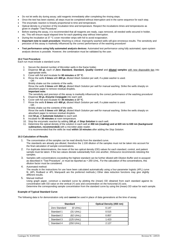- Do not let wells dry during assay; add reagents immediately after completing the rinsing steps.
- Once the test has been started, all steps must be completed without interruption and in the same sequence for each step.
- The enzymatic reaction is linearly proportional to time and temperature.
- Optical density is a function of the incubation time and temperature. Respect the incubations times and temperatures as given in chapter "Test Procedure".
- Before starting the assay, it is recommended that all reagents are ready, caps removed, all needed wells secured in holder, etc. This will ensure equal elapsed time for each pipetting step without interruption.
- During the incubation at 37 °C cover microtiter strips with foil to avoid evaporation.
- **Important note to wash procedure:** Washing is critical. Improperly washed wells will give erroneous results. The sensitivity and precision of this assay is markedly influenced by the correct performance of the washing procedure!
- **Test performance using fully automated analysis devices:** Automated test performance using fully automated, open-system analysis devices is possible. However, the combination must be validated by the user.

# **10.2 Test Procedure**

Each run must include a standard curve.

- 1. Secure the desired number of Microtiter wells in the frame holder.
- 2. Dispense **50 µL** each of *Zero Standard, Standard, Quality Control* and **diluted samples** with new disposable tips into appropriate wells.
- 3. Cover with foil and incubate for **60 minutes** at **37 °C**.
- 4. Rinse the wells **3 times** with **400 µL** diluted *Wash Solution* per well, if a plate washer is used.  $-$  OR  $-$ 
	- Briskly shake out the contents of the wells.

Rinse the wells **3 times** with **300 µL** diluted *Wash Solution* per well for manual washing. Strike the wells sharply on absorbent paper to remove residual droplets.

- **Important note:**
- The sensitivity and precision of this assay is markedly influenced by the correct performance of the washing procedure!
- 5. Dispense **50 µL** *Enzyme Conjugate* into each well.
- 6. Cover with foil and incubate for **30 minutes** at **37 °C**. 7. Rinse the wells **5 times** with **400 µL** diluted *Wash Solution* per well, if a plate washer is used.
- OR
	- Briskly shake out the contents of the wells.

Rinse the wells **5 times** with **300 µL** diluted *Wash Solution* per well for manual washing. Strike the wells sharply on absorbent paper to remove residual droplets.

- 8. Add **50 µL** of *Substrate Solution* to each well.
- 9. Incubate for **30 minutes** at room temperature.
- 10. Stop the enzymatic reaction by adding **100 µL** of *Stop Solution* to each well.
- 11. Determine the optical density of the solution in each well at **450 nm (reading) and at 620 nm to 630 nm (background**  subtraction, recommended) with a microtiter plate reader.

It is recommended that the wells be read **within 10 minutes** after adding the *Stop Solution*.

# **10.3 Calculation of Results**

- 1. The concentration of the samples can be read directly from the standard curve. The standards are already pre-diluted, therefore the 1:100 dilution of the samples must not be taken into account for the final calculation of sample concentrations.
- 2. For duplicate determinations, the mean of the two optical density (OD) values for each standard, control, and patient sample must be taken. If the two values deviate substantially from one another, DIAsource recommends retesting the samples.
- 3. Samples with concentrations exceeding the highest standard can be further diluted with Dilution Buffer and re-assayed as described in "Test Procedure", or must be reported as > 250 U/mL. For the calculation of the concentrations, this dilution factor must be considered.
- 4. Automated method:

The results in the instructions for use have been calculated automatically using a four-parameter logistic (4PL) curve fit. (4PL Rodbard or 4PL Marquardt are the preferred methods.) Other data reduction functions may give slightly different results.

5. Manual method:

Using graph paper, construct a standard curve by plotting the (mean) OD obtained from each standard against its concentration with OD value on the vertical (Y) axis and concentration on the horizontal (X) axis. Determine the corresponding sample concentration from the standard curve by using the (mean) OD value for each sample.

# **Example of Typical Standard Curve**

The following data is for demonstration only and **cannot** be used in place of data generations at the time of assay.

|               | <b>Standard</b>     | <b>Optical Density (450 nm)</b> |
|---------------|---------------------|---------------------------------|
| Zero Standard | (0 U/mL)            | 0.147                           |
| Standard 1    | $(31 \text{ U/mL})$ | 0.515                           |
| Standard 2    | $(62 \text{ U/mL})$ | 0.857                           |
| Standard 3    | (125 U/mL)          | 1.423                           |
| Standard 4    | (250 U/mL)          | 2.127                           |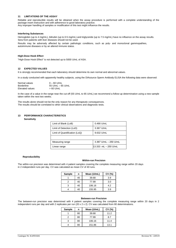# **11 LIMITATIONS OF THE ASSAY**

Reliable and reproducible results will be obtained when the assay procedure is performed with a complete understanding of the package insert instruction and with adherence to good laboratory practice. Any improper handling of samples or modification of this test might influence the results.

# **Interfering Substances**

Hemoglobin (up to 4 mg/mL), bilirubin (up to 0.5 mg/mL) and triglyceride (up to 7.5 mg/mL) have no influence on the assay results. Sera from patients with liver diseases should not be used.

Results may be adversely affected by certain pathologic conditions, such as poly- and monoclonal gammopathies, autoimmune diseases or by an altered immune status.

# **High-Dose Hook Effect**

"High-Dose Hook Effect" is not detected up to 5000 U/mL of ASA.

# **12 EXPECTED VALUES**

It is strongly recommended that each laboratory should determine its own normal and abnormal values.

In a study conducted with apparently healthy subjects, using the DIAsource Sperm Antibody ELISA the following data were observed:

| Normal values     | $0 - 60$ U/mL       |
|-------------------|---------------------|
| <b>Borderline</b> | 55 U/mL $-$ 65 U/mL |
| Elevated values   | $>60$ U/mL          |

In the case of a value in the range near the cut-off (55 U/mL to 65 U/mL) we recommend a follow-up determination using a new sample taken within the next two weeks.

The results alone should not be the only reason for any therapeutic consequences. The results should be correlated to other clinical observations and diagnostic tests.

# **13 PERFORMANCE CHARACTERISTICS**

 **Sensitivity**

| Limit of Blank (LoB)          | 0.490 U/mL            |  |
|-------------------------------|-----------------------|--|
| Limit of Detection (LoD)      | 3.367 U/mL            |  |
| Limit of Quantification (LoQ) | 9.632 U/mL            |  |
|                               |                       |  |
| Measuring range               | 3.367 U/mL - 250 U/mL |  |
| Linear range                  | l13.333 mL – 250 U/mL |  |

#### **Reproducibility**

# **Within-run Precision**

The within-run precision was determined with 4 patient samples covering the complete measuring range within 20 days in 2 independent runs per day. CV was calculated as mean CV of 40 runs.

| <b>Sample</b> | n  | Mean (U/mL) | CV(%) |
|---------------|----|-------------|-------|
|               | 40 | 39.68       | 3.9   |
| 2             | 40 | 77.99       | 3.0   |
| з             | 40 | 106.16      | 4.2   |
|               | 40 | 155.95      | 3.9   |

# **Between-run Precision**

The between-run precision was determined with 4 patient samples covering the complete measuring range within 20 days in 2 independent runs per day and with 2 replicates per run (20 x 2 x 2). CV was calculated from 80 determinations.

| <b>Sample</b> | n  | Mean (U/mL) | CV(%) |
|---------------|----|-------------|-------|
|               | 80 | 39.68       | 11.2  |
|               | 80 | 77.99       | 8.7   |
|               | 80 | 106.16      | 11.4  |
|               | 80 | 151.86      | 13.1  |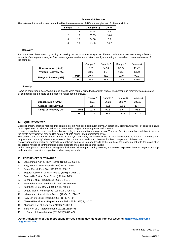# **Between-lot Precision**

The between-lot variation was determined by 6 measurements of different samples with 3 different kit lots.

| <b>Sample</b> | n  | Mean (U/mL) | CV(%) |
|---------------|----|-------------|-------|
|               | 18 | 17.78       | 9.3   |
|               | 18 | 26.65       | 10.4  |
| 3             | 18 | 34.58       | 3.9   |
|               | 18 | 55.56       | 14.7  |

#### **Recovery**

Recovery was determined by adding increasing amounts of the analyte to different patient samples containing different amounts of endogenous analyte. The percentage recoveries were determined by comparing expected and measured values of the samples.

|                       |      | Sample 1 | Sample 2 | Sample 3 | Sample 4 |
|-----------------------|------|----------|----------|----------|----------|
| Concentration (U/mL)  |      | 10.86    | 34.93    | 38.34    | 45.42    |
| Average Recovery (%)  |      | 98.6     | 89.0     | 101.0    | 105.0    |
| Range of Recovery (%) | from | 90.3     | 86.2     | 92.0     | 99.0     |
|                       | to   | 114.4    | 93.1     | 111.3    | 109.5    |

# **Linearity**

Samples containing different amounts of analyte were serially diluted with *Dilution Buffer*. The percentage recovery was calculated by comparing the expected and measured values for the analyte.

|                       |      | Sample 1 | Sample 2 | Sample 3 | Sample 4 |
|-----------------------|------|----------|----------|----------|----------|
| Concentration (U/mL)  |      | 36.37    | 66.20    | 183.74   | 280.32   |
| Average Recovery (%)  |      | 105.7    | 95.1     | 103.2    | 104.7    |
| Range of Recovery (%) | from | 103.9    | 92.3     | 99.7     | 98.6     |
|                       | to   | 107.5    | 97.9     | 110.8    | 107.3    |

# **14 QUALITY CONTROL**

Good laboratory practice requires that controls be run with each calibration curve. A statistically significant number of controls should be assayed to establish mean values and acceptable ranges to assure proper performance.

It is recommended to use control samples according to state and federal regulations. The use of control samples is advised to assure the day to day validity of results. Use controls at both normal and pathological levels.

The controls and the corresponding results of the QC-Laboratory are stated in the QC certificate added to the kit. The values and ranges stated on the QC sheet always refer to the current kit lot and should be used for direct comparison of the results.

Employ appropriate statistical methods for analysing control values and trends. If the results of the assay do not fit to the established acceptable ranges of control materials patient results should be considered invalid.

In this case, please check the following technical areas: Pipetting and timing devices; photometer, expiration dates of reagents, storage and incubation conditions, aspiration and washing methods.

# **15 REFERENCES / LITERATURE**

- 1. Lahteenmaki A et a.: Hum Reprod (1995) 10, 2824-28
- 2. Nagy ZP et al. Hum Reprod (1995) 10, 1775-80.
- 3. Zouari R et al. Fertil Steril (1993) 59, 606-12
- 4. Eggert-Kruse W et al. Hum Reprod (1993) 8, 1025-31
- 5. Francavilla F et al. Front Biosci (1999) 4, 9-25
- 6. Bohring C et al. Hum Reprod (2001) 7,113-8
- 7. Mazumdar S et al. Fertil Steril (1998) 70, 799-810
- 8. Kutteh WH. Hum Reprod, (1999) 14, 2426-9
- 9. Vegetti Wet al. Hum Reprod (1998) 13, 1796-800
- 10. Lahteenmaki A et al. Hum Reprod (1995) 10, 2824-28
- 11. Nagy ZP et al. Hum Reprod (1995) 10, 1775-80
- 12. Clarke GN et al. Am J Reprod Immunol Microbiol (1985) 7, 143-7
- 13. Abshagen K et al. Fertil Steril (1998) 70, 355-6
- 14. Jiang Y et al. J Reprod Immunol (2016) 118:85-91
- 15. Lu SM et al. Asian J Androl (2019) 21(5):473-477

# **Other translations of this Instructions for Use can be downloaded from our website: [https://www.diasource](https://www.diasource-diagnostics.com/)[diagnostics.com/](https://www.diasource-diagnostics.com/)**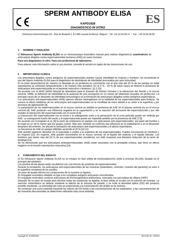# **SPERM ANTIBODY ELISA**

# **KAPD1826** *DIAGNÓSTICO IN VITRO*

DIAsource ImmunoAssays SA - Rue du Bosquet 2, B-1348 Louvain-la-Neuve, Belgium - Tel: +32 10 84 99 11 - Fax : +32 10 84 99 90

# **1 NOMBRE Y FINALIDAD**

El **DIAsource Sperm Antibody ELISA** es un inmunoensayo enzimático manual para realizar diagnósticos **cuantivativos** de anticuerpos dirigidos contra espermatozoides humanos (AAE) en suero humano.

#### **Para uso diagnóstico** *in vitro***. Para uso profesional de laboratorio.**

*Para obtener más información sobre el uso previsto, consulte la versión en inglés de las instrucciones de uso*

#### **2 IMPORTANCIA CLÍNICA**

Los anticuerpos dirigidos contra antígenos de espermatozoides pueden causar infertilidad en mujeres y hombres. Se recomienda el uso del Sperm Antibody ELISA para el diagnóstico de desórdenes de infertilidad provocados por auto inmunidad.

El no tener descendencia de manera no deseada es un problema en crecimiento con el que más del 20 % de las parejas en edad reproductiva se enfrentan temporalmente o de manera más duradera. En el 5 % - 20 % de estos casos se detecta la presencia de anticuerpos anti-espermatozoide en el paciente masculino o femenino. ([1,2,15].

De acuerdo con la WHO (WHO Manual de laboratorio para el Examen de Semen Humano y la interacción del Semen y el mucus cervical, 1999), la definición de infertilidad es la ausencia de una concepción en 12 meses de relaciones sexuales sin protección. La principal causa de un desorden de infertilidad inmunológico es la formación de anticuerpos dirigidos contra antígenos espermáticos.

Los anticuerpos anti-espermatozoides (AAE) ejercen efectos heterogéneos en la habilidad de los espermatozoides para fertilizar. Se conoce el efecto inhibitorio de los anticuerpos anti-espermatozoides en la movilidad de estos debido a su unión a la superficie y por procesos de aglutinación [3].

La penetración de los espermatozoides en el mucus cervical se debilita en presencia de AAE en el plasma seminal y/o en el mucus cervical [4]. AAE producen una influencia negativa en la capacitación y en la reacción del acrosoma del espermatozoide y por ello impiden la interacción del espermatozoide con el oocito [5,6].

La interacción del espermatozoide con el oocito y la subsiguiente unión y la penetración de la zona pelúcida puede ser inhibida por AAE. La subsiguiente fusión del oocito y el espermatozoide puede ser impedida también por la presencia de AAE [7,8].

De acuerdo con Crosignani et al. [9] la razón de embarazos en parejas con anticuerpos anti-espermatozoides por parte del hombre o la mujer es un 38 % menor que los grupos control. Más aún, también se confirma una influencia en la implantación e en el desarrollo temprano del embrión. Se discute la asociación de anticuerpos anti-espermatozoides y el aborto espontáneo. La frecuencia de AAE en parejas infértiles asciende al 20 % [10,11].

AAE pueden aparecer disueltos en el eyaculado o unidos a la superficie de los espermatozoides. Pueden encontrarse en hombres y en mujeres [12]. En mujeres, AAE pueden encontrares en el mucus cervical, en el líquido del oviducto y el líquido folicular. Los hombres que tienen más del 50 % de sus espermatozoides recubiertos con AAE muestran una llamativa reducción de la razón de fertilidad [13].

Se ha demostrado que los anticuerpos antiespermatozoides (AAE) están asociados con la prostatitis crónica, que tiene un efecto negativo en la función reproductiva masculina [14].

# **3 FUNDAMENTO DEL ENSAYO**

El Kit DIAsource Sperm Antibody ELISA es un ensayo en fase sólida de inmunoadsorción unido a enzimas (ELISA), basado en el principio del sándwich.

Los pocillos de las placas están recubiertos con una mezcla de proteínas de espermatozoides.

Durante la incubación, los anticuerpos anti-espermatozoides de las muestras (estándares, controles, muestra del paciente) se unen a la superficie recubierta de los pocillos.

Un paso de lavado elimina los componentes de la muestra no ligados.

El conjugado enzimático añadido se liga a los complejos antígeno-anticuerpo inmovilizados.

El conjugado enzimático contiene anticuerpos de immunoglobulina antihumana, marcados con peroxidasa de rábano (HRP).

Después de un paso de lavado para eliminar todas las sustancias no ligadas, la fase sólida se incuba con la solución de sustrato. La reacción colorimétrica se detiene mediante la adición de la solución de parada, y se mide la densidad óptica (OD) del producto amarillo resultante. La intensidad del color es proporcional a la concentración del analito en la muestra.

Se construye una curva estándar trazando los valores de DO frente a las concentraciones de los estándares, y las concentraciones de las muestras desconocidas se determinan utilizando esta curva estándar.

**ES**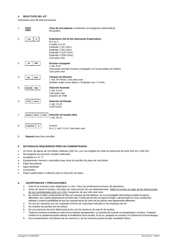# **4 REACTIVOS DEL KIT**

Suficientes para 96 determinaciones.

| 1. | Ш                                         | Tiras de microplacas recubiertas con antígenos espermáticos<br>96 pocillos                                                                                                                         |
|----|-------------------------------------------|----------------------------------------------------------------------------------------------------------------------------------------------------------------------------------------------------|
| 2. | CAL<br>N                                  | Estándares del ELISA anticuerpo Espermático<br>$N=1$ to 4<br>4 viales, 0.5 ml<br>Estándar 1 (31 U/mL)<br>Estándar 2 (62 U/mL)<br>Estándar 3 (125 U/mL)<br>Estándar 4 (250 U/mL)<br>Listo para usar |
| 3. | <b>HRP</b><br>Ab                          | Enzima conjugado<br>1 vial, 8 ml<br>Anticuerpo anti-IgG humana conjugado con la peroxidasa de rábano<br>Listo para usar                                                                            |
| 4. | <b>BUF</b><br><b>DIL</b>                  | Tampón de Dilución<br>1 vial, 50 ml/vial, Listo para usar<br>también usado como blanco / Estándar cero / 0 U/mL                                                                                    |
| 5. | <b>CHROM</b><br><b>TMB</b>                | Solución Sustrato<br>1 vial, 14 ml<br>Listo para usar<br>solución de TMB                                                                                                                           |
| 6. | <b>STOP</b><br><b>SOLN</b>                | Solución de Parada<br>1 vial, 14 ml<br>0.5M H <sub>2</sub> SO <sub>4</sub>                                                                                                                         |
| 7. | <b>CONC</b><br><b>SOLN</b><br><b>WASH</b> | Solución de lavado (40x)<br>1 vial, 30 ml                                                                                                                                                          |
| 8. | <b>CONTROL</b><br>N                       | Control<br>N=1, 1 vial, 0.5 ml, Listo para usar                                                                                                                                                    |

9. **Soporte** para tiras sencillas

# **5 MATERIALES REQUERIDOS PERO NO SUMINISTRADOS**

- Un lector de placas de microtítulo calibrado (450 nm, con una longitud de onda de referencia de entre 620 nm y 630 nm)
- Micropipetas de precisión variable calibradas
- Incubadora a 37 °C
- Equipamiento manual o automático para lavar los pocillos de placa de microtítulo
- Papel absorbente
- Agua destilada
- **Cronómetro**
- Papel cuadriculado o software para la reducción de datos.

# **6. ADVERTENCIAS Y PRECAUCIONES**

- 1. Este kit es exclusivo para diagnóstico *in vitro*. Para uso profesional exclusivo de laboratorio.
- 2. Antes de iniciar el ensayo, lea todas las instrucciones de uso detenidamente. Utilice la versión en vigor de las instrucciones de uso suministradas junto con el kit. Asegúrese de que todo está claro.
- 3. No mezcle ni utilice componentes de kits con números de lote distintos. No es aconsejable intercambiar pocillos de placas diferentes, aun cuando pertenezcan al mismo lote. Puede que los kits se hayan enviado o almacenado en unas condiciones distintas y existe la posibilidad de que las características de unión de las placas sean ligeramente diferentes.
- 4. No use los reactivos una vez superada la fecha de caducidad indicada en las etiquetas del kit.
- 5. No reutilice los pocillos de microtítulo.
- 6. No use reactivos de otros fabricantes junto con los reactivos de este kit de prueba.
- 7. Todos los reactivos incluidos en este kit son líquidos transparentes. La solución de sustrato es transparente e incolora. Cualquier cambio en su apariencia podría afectar al rendimiento de la prueba. Si así es, póngase en contacto con DIAsource ImmunoAssays.
- 8. Una contaminación microbiana de los reactivos o de las muestras podría arrojar resultados falsos.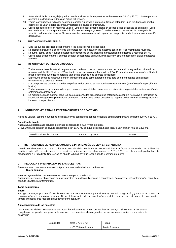- 9. Antes de iniciar la prueba, deje que los reactivos alcancen la temperatura ambiente (entre 20 °C y 26 °C). La temperatura afectará a las lecturas de densidad óptica del ensayo.
- 10. Todos los volúmenes indicados se deben respetar siguiendo el protocolo. Solo se obtendrán unos resultados de prueba óptimos si se usan pipetas calibradas y lectores de placas de microtítulo.
- 11. Utilice depósitos solo con reactivos únicos. Esto es especialmente cierto en el caso de los depósitos de sustratos. Si se usa un depósito para dispensar una solución de sustrato que ya se usó previamente con la solución de conjugado, la solución podría acabar tiznada. No vierta reactivo de nuevo a su vial original, ya que podría producirse una contaminación del reactivo

# **6.1 PRECAUCIONES GENERALS**

- 1. Siga las buenas prácticas de laboratorio y las instrucciones de seguridad.
- 2. No pipetee nunca con la boca y evite el contacto con los reactivos y las muestras con la piel y las membranas mucosas.
- 3. No fume, coma, beba ni aplique sustancias cosméticas en las áreas de manipulación de muestras o reactivos del kit.
- 4. Utilice batas de laboratorio y guantes de látex desechables al manipular reactivos y, si fuera necesario, gafas protectoras también.

# **6.2 INFORMACION DE RIESGO BIOLOGICO**

- 1. Todos los reactivos de este kit de prueba que contienen plasma o suero humano se han analizado y se ha confirmado su negativo en HIV I/II, HBsAg y HCV mediante procedimientos aprobados de la FDA. Pese a ello, no existe ningún método de prueba conocido que ofrezca garantía total de no presencia de agentes infecciosos.
- 2. El producto contiene materia de origen animal certificado como aparentemente libre de enfermedades contagiosas o infecciosas y parásitos nocivos.
- 3. Los componentes bovinos proceden de países en los que no se han notificado casos de EEB (encefalopatía espongiforme bovina).
- 4. Todas las materias y muestras de origen humano o animal deben tratarse como si existiera la posibilidad de transmisión de enfermedades infecciosas.
- La manipulación de material debe realizarse siguiendo los procedimientos establecidos según la normativa o instrucción de seguridad y riesgo biológico nacional pertinente. Los residuos deben desecharse respetando las normativas o regulaciones locales correspondientes.

# **7 INSTRUCCIONES PARA LA PREPARACIÓN DE LOS REACTIVOS**

Antes de usarlos, espere a que todos los reactivos y la cantidad de bandas necesaria estén a temperatura ambiente (20 °C a 26 °C).

#### **Solución de lavado**

Añada agua destilada a la solución de lavado concentrada a 40X (Wash Solution). Diluya 30 mL de solución de lavado concentrada con 1170 mL de agua destilada hasta llegar a un volumen final de 1200 mL.

| <sub>ି</sub> 26 °C<br>. 20 ∘C<br>Estabilidad<br>emana<br>entr<br>dilucion:<br>tras la<br>$\cdot$ |
|--------------------------------------------------------------------------------------------------|
|--------------------------------------------------------------------------------------------------|

# **8 INSTRUCCIONES DE ALMACENAMIENTO E INFORMACIÓN DE VIDA EN ESTANTERÍA**

Cuando se almacena a 2 °C a 8 °C, los reactivos sin abrir mantienen su reactividad hasta la fecha de caducidad. No utilizar los reactivos más allá de esta fecha. Los reactivos abiertos han de almacenarse a 2 °C a 8 °C. Las placas multipocillo han de almacenarse a 2 °C a 8 °C. Una vez se ha abierto la bolsa hay que tener cuidado y cerrarla de nuevo.

# **9 RECOGIDA Y PREPARACIÓN DE LAS MUESTRAS**

En este ensayo pueden ser usados los tipos de muestra detallados a continaución: **Suero humano**.

En el ensayo no deben usarse muestras que contengan azida de sodio.

En términos generales, absténgase de usar muestras hemolíticas, lipémicas o con ictericia. Para obtener más información, consulte el capítulo «*Sustancias interferentes».*

#### **Toma de muestras**

#### **Suero:**

.

Recoger la sangre por punción en la vena (ej. Sarstedt Monovette para el suero), permitir coagulación, y separar el suero por centrifugación a temperatura ambiente. No centrifugar antes de la coagulación completa. Las muestras de pacientes que reciben terapia anticoagulante requieren más tiempo para coagular.

# **Almacenamiento de las muestras**

Las muestras deben almacenarse cerradas herméticamente antes de realizar el ensayo. Si se van a almacenar congeladas, se pueden congelar solo una vez. Las muestras descongeladas se deben invertir varias veces antes de analizarlas

| Estabilidad | entre 2 °C y 8 °C       | 4 días        |
|-------------|-------------------------|---------------|
|             | a -20 °C (en alícuotas) | hasta 2 meses |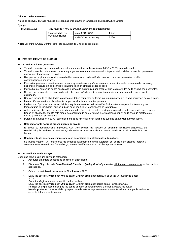### **Dilución de las muestras**

Antes de ensayar, diluya la muestra de cada paciente 1:100 con tampón de dilución (*Dilution Buffer*).

# Ejemplo:

Dilución 1:100: 5 µL muestra + 495 µL *Dilution Buffer* (mezclar totalmente)

| Estabilidad de las | entre 2 $^{\circ}$ C y 8 $^{\circ}$ C | 4 días |
|--------------------|---------------------------------------|--------|
| muestras diluidas  | a -20 °C (en alícuotas)               | 7 días |

**Nota:** El control (*Quality Control*) está listo para usar do y no debe ser diluido

# **10 PROCEDIMIENTO DE ENSAYO**

# **10.1 Consideraciones generales**

- Todos los reactivos y muestras deben estar a temperatura ambiente (entre 20 °C y 26 °C) antes de usarlos.
- Todos los reactivos deben mezclarse sin que generen espuma intercambie los tapones de los viales de reactivo para evitar posibles contaminaciones cruzadas.
- Use puntas de pipeta de plástico desechables nuevas con cada estándar, control o muestra para evitar posibles contaminaciones por arrastre.
- Para evitar posibles contaminaciones cruzadas y resultados engañosamente elevados, pipetee las muestras de paciente y dispense conjugado sin salpicar de forma minuciosa en el fondo de los pocillos
- Mezcle bien el contenido de los pocillos de la placa de microtítulo para procurar que los resultados de la prueba sean correctos.
- No deje que los pocillos se sequen durante el ensayo; añada reactivo inmediatamente una vez acabados los pasos de enjuagado.
- Una vez iniciada la prueba, todos los pasos se deben completar de forma ininterrumpida y en la misma secuencia de cada paso.
- La reacción enzimática es linealmente proporcional al tiempo y la temperatura.
- La densidad óptica es una función del tiempo y la temperatura de incubación. Es importante respetar los tiempos y las temperaturas de incubación que se indican en el capítulo «Procedimiento de la prueba».
- Antes de iniciar el ensayo, se recomienda tener todos los reactivos listos, los tapones quitados, todos los pocillos necesarios fijados en el soporte, etc. De este modo, se asegurará de que el tiempo que va a transcurrir en cada paso de pipeteo es el mismo y sin interrupción alguna.
- Durante la incubación a 37 °C, cubra las bandas de microtítulo con lámina de cubierta para evitar la evaporación.
- **Nota importante sobre el procedimiento de lavado:**

El lavado es tremendamente importante. Con unos pocillos mal lavados se obtendrán resultados engañosos. La sensibilidad y la precisión de este ensayo dependen enormemente de un correcto rendimiento del procedimiento de lavado.

• **Rendimiento de pruebas mediante aparatos de análisis completamente automáticos:**

Se puede obtener un rendimiento de pruebas automático usando aparatos de análisis de sistema abierto y completamente automáticos. Sin embargo, la combinación debe estar validada por el usuario.

# **10.2 Procedimiento de ensayo**

Cada uno debe incluir una curva de estándares.

1. Asegurar el número deseado de pocillos en el recipiente.

- 2. Dispensar **50 µL** de cada *Zero Standard, Standard, Quality Control* y **muestra diluida** con puntas nuevas en los pocillos adecuados.
- 3. Cubrir con un folio e incubardurante **60 minutes** a **37 °C**.
- 4. Lavar los pocillos **3 veces** con **400 µL** *Wash Solution* diluida por pocillo, si se utiliza un lavador de placas. - O -

Sacudir enérgicamente el contenido de los pocillos.

Lavar los pocillos **3 veces** con **300 µL** *Wash Solution* diluida por pocillo para el lavado manual. Realizar un golpe seco de los pocillos contra el papel absorbente para eliminar las gotas residuales. **Nota importante:** La sensibilidad y la precisión de este ensayo se ve marcadamente influenciada por la realización correcta del proceso de lavado!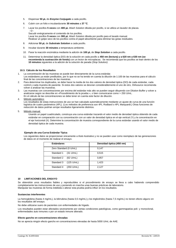- 5. Dispensar **50 µL** de *Enzyme Conjugate* a cada pocillo.
- 6. Cubrir con un folio e incubardurante **30 minutes** a **37 °C**.
- 7. Lavar los pocillos **5 veces** con **400 µL** *Wash Solution* diluida por pocillo, si se utiliza un lavador de placas.  $-$  O -

Sacudir enérgicamente el contenido de los pocillos. Lavar los pocillos **5 veces** con **300 µL** *Wash Solution* diluida por pocillo para el lavado manual. Realizar un golpe seco de los pocillos contra el papel absorbente para eliminar las gotas residuales.

- 8. Adicionar **50 µL** de *Substrate Solution* a cada pocillo.
- 9. Incubar durante **30 minutes** a temperatura ambiente.
- 10. Parar la reacción enzimática mediante la adición de **100 µL** de *Stop Solution* a cada pocillo.
- 11. Determinar la densidad óptica (DO) de la solución en cada pocillo a **450 nm (lectura) y a 620 nm a 630 nm (se recomienda la sustracción de fondo)** con un lector de microplacas. Se recomienda que los pocillos se lean dentro de los **10 minutos** siguientes a la adición de la solución de parada (*Stop Solution)*.

# **10.3. Cálculo de los Resultados**

- 1. La concentración de las muestras se puede leer directamente de la curva estándar.
- Los estándares ya están prediluidos, por lo que no se ha tenido en cuenta la dilución de 1:100 de las muestras para el cálculo final de las concentraciones de las muestras.
- 2. Para determinar los duplicados, se debe hacer la media de los dos valores de densidad óptica (DO) de cada estándar, cada control y cada muestra de paciente. Si estos dos valores se desvían considerablemente el uno de otro, DIAsource recomienda volver a analizar las muestras.
- 3. Las muestras con concentraciones por encima del estándar más alto se pueden seguir diluyendo con Dilution Buffer y volver a analizarse según se describe en «Procedimiento de la prueba », o bien comunicarse como > 250 U/mL. En el cálculo de las concentraciones se debe tener en cuenta este factor de dilución.
- 4. Método automático:
	- Los resultados de estas instrucciones de uso se han calculado automáticamente mediante un ajuste de curva de una función logística de cuatro parámetros (4PL). (Los métodos de preferencia son 4PL Rodbard o 4PL Marquardt.) Otras funciones de reducción de datos podrían arrojar resultados ligeramente distintos.
- 5. Método manual:

Usando un papel cuadriculado, construya una curva estándar trazando el valor medio de densidad óptica obtenido de cada estándar en comparación con su concentración con un valor de densidad óptica en el eje vertical (Y) y la concentración en el eje horizontal (X). Determine la concentración de muestra correspondiente de la curva estándar usando el valor medio de densidad óptica de cada muestra.

# **Ejemplo de una Curva Estándar Típica**

Los siguientes datos se proporcionan únicamente a título ilustrativo y no se pueden usar como reemplazo de las generaciones de datos en el momento de realizar el ensayo.

| <b>Estándares</b>                  | Densidad óptica (450 nm) |
|------------------------------------|--------------------------|
| Zero Standard (0 U/mL)             | 0,147                    |
| Standard 1<br>$(31 \text{ U/mL})$  | 0.515                    |
| Standard 2<br>$(62 \text{ U/mL})$  | 0,857                    |
| Standard 3<br>$(125 \text{ U/mL})$ | 1.423                    |
| Standard 4<br>(250 U/mL)           | 2,127                    |

# **10 LIMITACIONES DEL ENSAYO**

Se obtendrán unos resultados fiables y reproducibles si el procedimiento de ensayo se lleva a cabo habiendo comprendido completamente las instrucciones de uso y poniendo en marcha unas buenas prácticas de laboratorio. Manipular las muestras de forma indebida o alterar esta prueba podría influir en los resultados.

#### **Sustancias interferentes**

La hemoglobina (hasta 4 mg/mL), la bilirrubina (hasta 0,5 mg/mL) y los triglicéridos (hasta 7,5 mg/mL) no tienen efecto alguno en los resultados del ensayo.

No debe utilizarse suero de pacientes con enfermedades de hígado.

Los resultados pueden estar afectados severamente por ciertas condiciones patológicas, como gammapatías poli- y monoclonal, enfermedades auto inmunes o por un estado inmune alterado.

#### **Efecto gancho en concentraciones elevadas**

No se aprecia ningún efecto gancho en concentraciones elevadas de hasta 5000 U/mL de AAE.